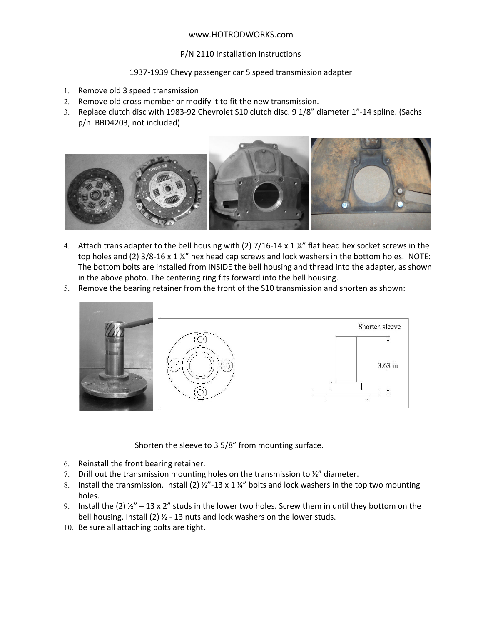## www.HOTRODWORKS.com

## P/N 2110 Installation Instructions

## 1937‐1939 Chevy passenger car 5 speed transmission adapter

- 1. Remove old 3 speed transmission
- 2. Remove old cross member or modify it to fit the new transmission.
- 3. Replace clutch disc with 1983‐92 Chevrolet S10 clutch disc. 9 1/8" diameter 1"‐14 spline. (Sachs p/n BBD4203, not included)



- 4. Attach trans adapter to the bell housing with (2) 7/16-14 x 1 ¼" flat head hex socket screws in the top holes and (2) 3/8-16 x 1 ¼" hex head cap screws and lock washers in the bottom holes. NOTE: The bottom bolts are installed from INSIDE the bell housing and thread into the adapter, as shown in the above photo. The centering ring fits forward into the bell housing.
- 5. Remove the bearing retainer from the front of the S10 transmission and shorten as shown:



Shorten the sleeve to 3 5/8" from mounting surface.

- 6. Reinstall the front bearing retainer.
- 7. Drill out the transmission mounting holes on the transmission to  $\frac{y_2}{x_1}$  diameter.
- 8. Install the transmission. Install (2)  $\frac{1}{2}$  -13 x 1  $\frac{1}{4}$  bolts and lock washers in the top two mounting holes.
- 9. Install the (2)  $\frac{1}{2}$  13 x 2" studs in the lower two holes. Screw them in until they bottom on the bell housing. Install (2) ½ ‐ 13 nuts and lock washers on the lower studs.
- 10. Be sure all attaching bolts are tight.